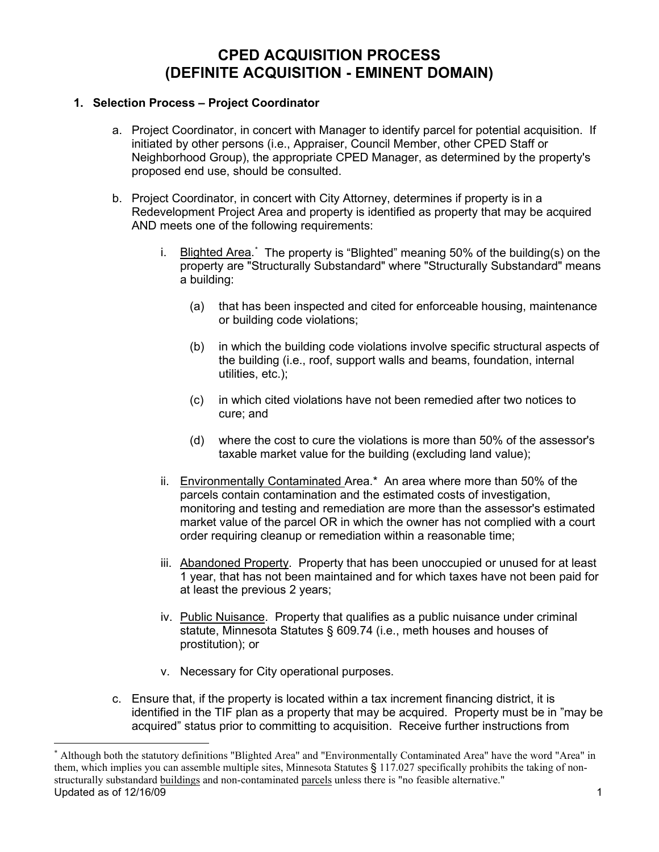# **CPED ACQUISITION PROCESS (DEFINITE ACQUISITION - EMINENT DOMAIN)**

## **1. Selection Process – Project Coordinator**

- a. Project Coordinator, in concert with Manager to identify parcel for potential acquisition. If initiated by other persons (i.e., Appraiser, Council Member, other CPED Staff or Neighborhood Group), the appropriate CPED Manager, as determined by the property's proposed end use, should be consulted.
- b. Project Coordinator, in concert with City Attorney, determines if property is in a Redevelopment Project Area and property is identified as property that may be acquired AND meets one of the following requirements:
	- i. <u>Blighted Area</u>.[\\*](#page-0-0) The property is "Blighted" meaning 50% of the building(s) on the property are "Structurally Substandard" where "Structurally Substandard" means a building:
		- (a) that has been inspected and cited for enforceable housing, maintenance or building code violations;
		- (b) in which the building code violations involve specific structural aspects of the building (i.e., roof, support walls and beams, foundation, internal utilities, etc.);
		- (c) in which cited violations have not been remedied after two notices to cure; and
		- (d) where the cost to cure the violations is more than 50% of the assessor's taxable market value for the building (excluding land value);
	- ii. Environmentally Contaminated Area.\* An area where more than 50% of the parcels contain contamination and the estimated costs of investigation, monitoring and testing and remediation are more than the assessor's estimated market value of the parcel OR in which the owner has not complied with a court order requiring cleanup or remediation within a reasonable time;
	- iii. Abandoned Property. Property that has been unoccupied or unused for at least 1 year, that has not been maintained and for which taxes have not been paid for at least the previous 2 years;
	- iv. Public Nuisance. Property that qualifies as a public nuisance under criminal statute, Minnesota Statutes § 609.74 (i.e., meth houses and houses of prostitution); or
	- v. Necessary for City operational purposes.
- c. Ensure that, if the property is located within a tax increment financing district, it is identified in the TIF plan as a property that may be acquired. Property must be in "may be acquired" status prior to committing to acquisition. Receive further instructions from

<span id="page-0-0"></span>Updated as of 12/16/09  $\hspace{1.5cm}$  1 \* Although both the statutory definitions "Blighted Area" and "Environmentally Contaminated Area" have the word "Area" in them, which implies you can assemble multiple sites, Minnesota Statutes § 117.027 specifically prohibits the taking of nonstructurally substandard buildings and non-contaminated parcels unless there is "no feasible alternative."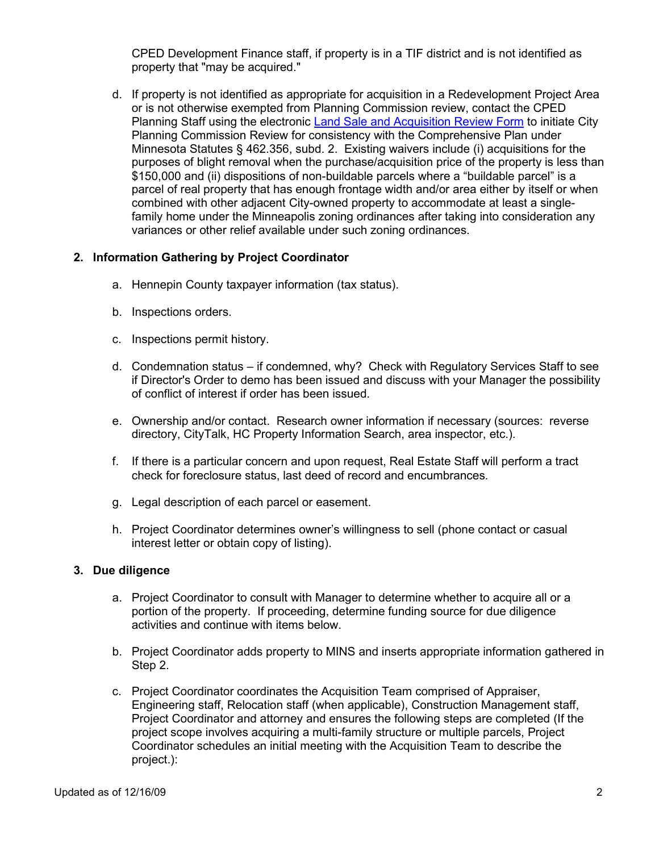CPED Development Finance staff, if property is in a TIF district and is not identified as property that "may be acquired."

d. If property is not identified as appropriate for acquisition in a Redevelopment Project Area or is not otherwise exempted from Planning Commission review, contact the CPED Planning Staff using the electronic [Land Sale and Acquisition Review Form](http://www.minneapolismn.gov/www/groups/public/@finance/documents/webcontent/wcms1q-003473.doc) to initiate City Planning Commission Review for consistency with the Comprehensive Plan under Minnesota Statutes § 462.356, subd. 2. Existing waivers include (i) acquisitions for the purposes of blight removal when the purchase/acquisition price of the property is less than \$150,000 and (ii) dispositions of non-buildable parcels where a "buildable parcel" is a parcel of real property that has enough frontage width and/or area either by itself or when combined with other adjacent City-owned property to accommodate at least a singlefamily home under the Minneapolis zoning ordinances after taking into consideration any variances or other relief available under such zoning ordinances.

## **2. Information Gathering by Project Coordinator**

- a. Hennepin County taxpayer information (tax status).
- b. Inspections orders.
- c. Inspections permit history.
- d. Condemnation status if condemned, why? Check with Regulatory Services Staff to see if Director's Order to demo has been issued and discuss with your Manager the possibility of conflict of interest if order has been issued.
- e. Ownership and/or contact. Research owner information if necessary (sources: reverse directory, CityTalk, HC Property Information Search, area inspector, etc.).
- f. If there is a particular concern and upon request, Real Estate Staff will perform a tract check for foreclosure status, last deed of record and encumbrances.
- g. Legal description of each parcel or easement.
- h. Project Coordinator determines owner's willingness to sell (phone contact or casual interest letter or obtain copy of listing).

## **3. Due diligence**

- a. Project Coordinator to consult with Manager to determine whether to acquire all or a portion of the property. If proceeding, determine funding source for due diligence activities and continue with items below.
- b. Project Coordinator adds property to MINS and inserts appropriate information gathered in Step 2.
- c. Project Coordinator coordinates the Acquisition Team comprised of Appraiser, Engineering staff, Relocation staff (when applicable), Construction Management staff, Project Coordinator and attorney and ensures the following steps are completed (If the project scope involves acquiring a multi-family structure or multiple parcels, Project Coordinator schedules an initial meeting with the Acquisition Team to describe the project.):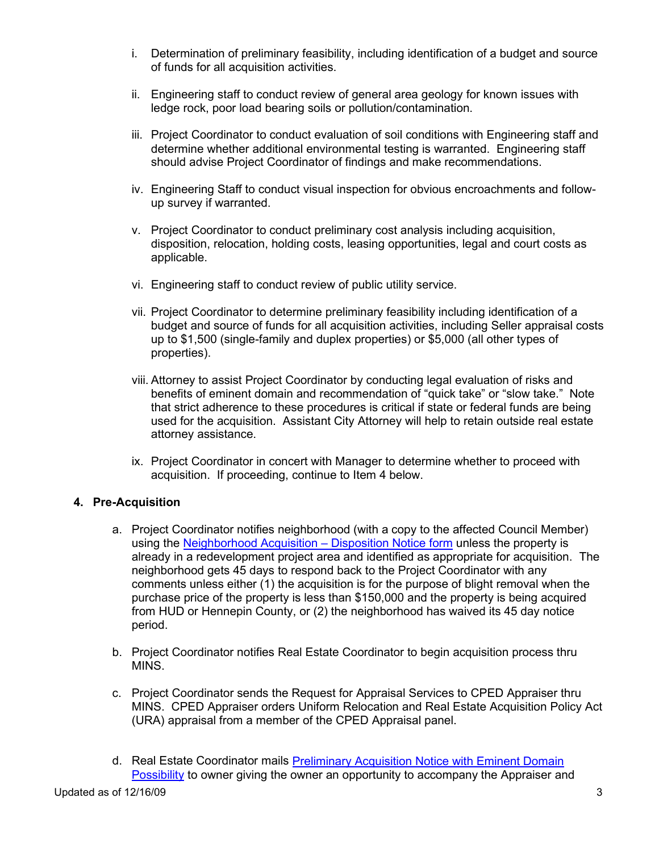- i. Determination of preliminary feasibility, including identification of a budget and source of funds for all acquisition activities.
- ii. Engineering staff to conduct review of general area geology for known issues with ledge rock, poor load bearing soils or pollution/contamination.
- iii. Project Coordinator to conduct evaluation of soil conditions with Engineering staff and determine whether additional environmental testing is warranted. Engineering staff should advise Project Coordinator of findings and make recommendations.
- iv. Engineering Staff to conduct visual inspection for obvious encroachments and followup survey if warranted.
- v. Project Coordinator to conduct preliminary cost analysis including acquisition, disposition, relocation, holding costs, leasing opportunities, legal and court costs as applicable.
- vi. Engineering staff to conduct review of public utility service.
- vii. Project Coordinator to determine preliminary feasibility including identification of a budget and source of funds for all acquisition activities, including Seller appraisal costs up to \$1,500 (single-family and duplex properties) or \$5,000 (all other types of properties).
- viii. Attorney to assist Project Coordinator by conducting legal evaluation of risks and benefits of eminent domain and recommendation of "quick take" or "slow take." Note that strict adherence to these procedures is critical if state or federal funds are being used for the acquisition. Assistant City Attorney will help to retain outside real estate attorney assistance.
- ix. Project Coordinator in concert with Manager to determine whether to proceed with acquisition. If proceeding, continue to Item 4 below.

## **4. Pre-Acquisition**

- a. Project Coordinator notifies neighborhood (with a copy to the affected Council Member) using the [Neighborhood Acquisition –](http://www.minneapolismn.gov/www/groups/public/@finance/documents/webcontent/wcms1q-002730.doc) Disposition Notice form unless the property is already in a redevelopment project area and identified as appropriate for acquisition. The neighborhood gets 45 days to respond back to the Project Coordinator with any comments unless either (1) the acquisition is for the purpose of blight removal when the purchase price of the property is less than \$150,000 and the property is being acquired from HUD or Hennepin County, or (2) the neighborhood has waived its 45 day notice period.
- b. Project Coordinator notifies Real Estate Coordinator to begin acquisition process thru MINS.
- c. Project Coordinator sends the Request for Appraisal Services to CPED Appraiser thru MINS. CPED Appraiser orders Uniform Relocation and Real Estate Acquisition Policy Act (URA) appraisal from a member of the CPED Appraisal panel.
- d. Real Estate Coordinator mails [Preliminary Acquisition Notice with Eminent Domain](http://www.minneapolismn.gov/www/groups/public/@finance/documents/webcontent/wcms1q-002728.doc)  [Possibility](http://www.minneapolismn.gov/www/groups/public/@finance/documents/webcontent/wcms1q-002728.doc) to owner giving the owner an opportunity to accompany the Appraiser and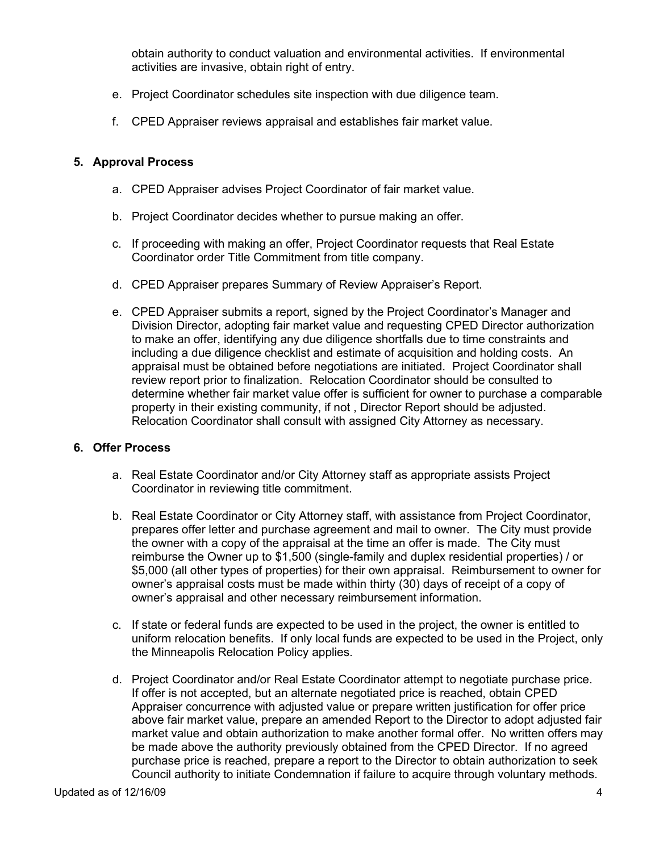obtain authority to conduct valuation and environmental activities. If environmental activities are invasive, obtain right of entry.

- e. Project Coordinator schedules site inspection with due diligence team.
- f. CPED Appraiser reviews appraisal and establishes fair market value.

### **5. Approval Process**

- a. CPED Appraiser advises Project Coordinator of fair market value.
- b. Project Coordinator decides whether to pursue making an offer.
- c. If proceeding with making an offer, Project Coordinator requests that Real Estate Coordinator order Title Commitment from title company.
- d. CPED Appraiser prepares Summary of Review Appraiser's Report.
- e. CPED Appraiser submits a report, signed by the Project Coordinator's Manager and Division Director, adopting fair market value and requesting CPED Director authorization to make an offer, identifying any due diligence shortfalls due to time constraints and including a due diligence checklist and estimate of acquisition and holding costs. An appraisal must be obtained before negotiations are initiated. Project Coordinator shall review report prior to finalization. Relocation Coordinator should be consulted to determine whether fair market value offer is sufficient for owner to purchase a comparable property in their existing community, if not , Director Report should be adjusted. Relocation Coordinator shall consult with assigned City Attorney as necessary.

#### **6. Offer Process**

- a. Real Estate Coordinator and/or City Attorney staff as appropriate assists Project Coordinator in reviewing title commitment.
- b. Real Estate Coordinator or City Attorney staff, with assistance from Project Coordinator, prepares offer letter and purchase agreement and mail to owner. The City must provide the owner with a copy of the appraisal at the time an offer is made. The City must reimburse the Owner up to \$1,500 (single-family and duplex residential properties) / or \$5,000 (all other types of properties) for their own appraisal. Reimbursement to owner for owner's appraisal costs must be made within thirty (30) days of receipt of a copy of owner's appraisal and other necessary reimbursement information.
- c. If state or federal funds are expected to be used in the project, the owner is entitled to uniform relocation benefits. If only local funds are expected to be used in the Project, only the Minneapolis Relocation Policy applies.
- d. Project Coordinator and/or Real Estate Coordinator attempt to negotiate purchase price. If offer is not accepted, but an alternate negotiated price is reached, obtain CPED Appraiser concurrence with adjusted value or prepare written justification for offer price above fair market value, prepare an amended Report to the Director to adopt adjusted fair market value and obtain authorization to make another formal offer. No written offers may be made above the authority previously obtained from the CPED Director. If no agreed purchase price is reached, prepare a report to the Director to obtain authorization to seek Council authority to initiate Condemnation if failure to acquire through voluntary methods.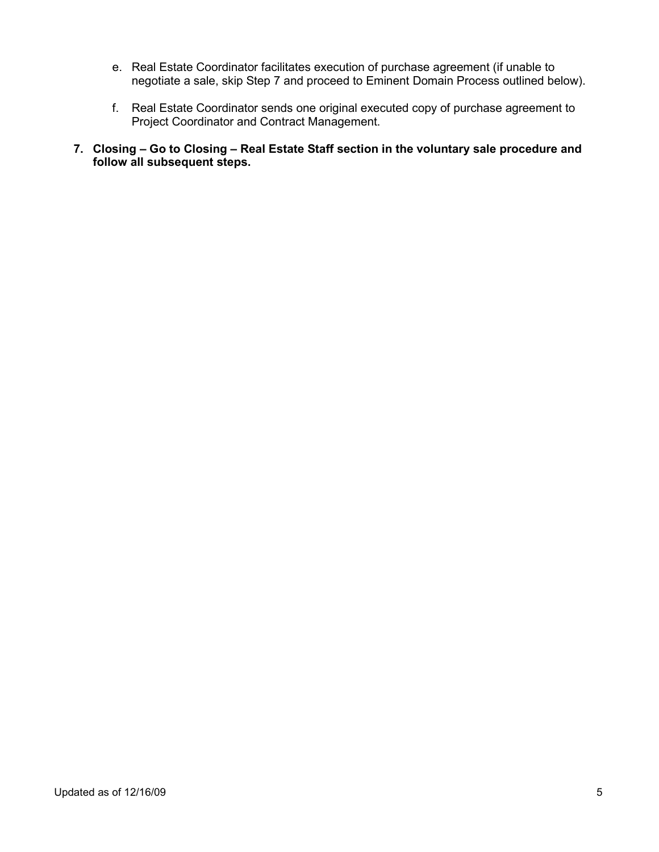- e. Real Estate Coordinator facilitates execution of purchase agreement (if unable to negotiate a sale, skip Step 7 and proceed to Eminent Domain Process outlined below).
- f. Real Estate Coordinator sends one original executed copy of purchase agreement to Project Coordinator and Contract Management.
- **7. Closing – Go to Closing – Real Estate Staff section in the voluntary sale procedure and follow all subsequent steps.**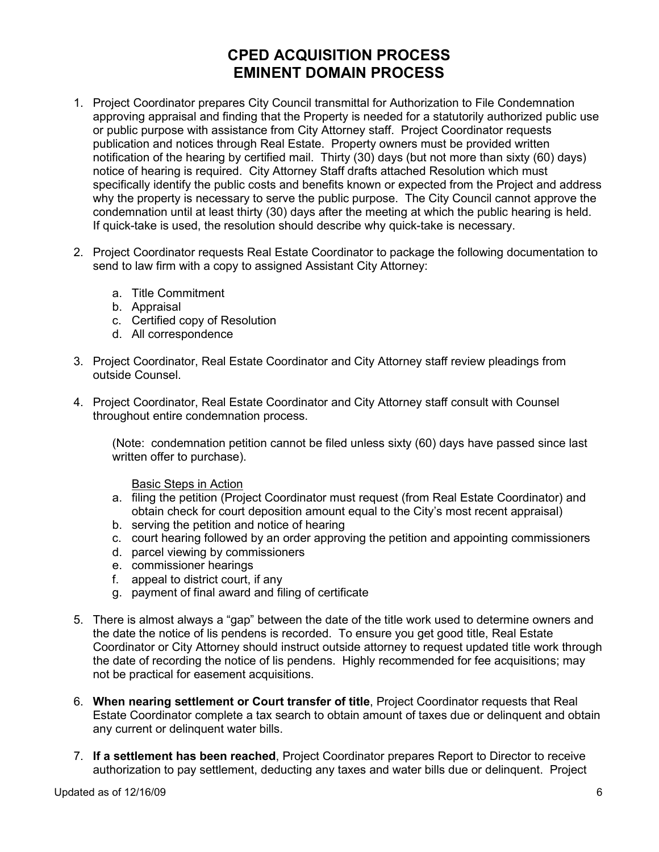# **CPED ACQUISITION PROCESS EMINENT DOMAIN PROCESS**

- 1. Project Coordinator prepares City Council transmittal for Authorization to File Condemnation approving appraisal and finding that the Property is needed for a statutorily authorized public use or public purpose with assistance from City Attorney staff. Project Coordinator requests publication and notices through Real Estate. Property owners must be provided written notification of the hearing by certified mail. Thirty (30) days (but not more than sixty (60) days) notice of hearing is required. City Attorney Staff drafts attached Resolution which must specifically identify the public costs and benefits known or expected from the Project and address why the property is necessary to serve the public purpose. The City Council cannot approve the condemnation until at least thirty (30) days after the meeting at which the public hearing is held. If quick-take is used, the resolution should describe why quick-take is necessary.
- 2. Project Coordinator requests Real Estate Coordinator to package the following documentation to send to law firm with a copy to assigned Assistant City Attorney:
	- a. Title Commitment
	- b. Appraisal
	- c. Certified copy of Resolution
	- d. All correspondence
- 3. Project Coordinator, Real Estate Coordinator and City Attorney staff review pleadings from outside Counsel.
- 4. Project Coordinator, Real Estate Coordinator and City Attorney staff consult with Counsel throughout entire condemnation process.

(Note: condemnation petition cannot be filed unless sixty (60) days have passed since last written offer to purchase).

#### Basic Steps in Action

- a. filing the petition (Project Coordinator must request (from Real Estate Coordinator) and obtain check for court deposition amount equal to the City's most recent appraisal)
- b. serving the petition and notice of hearing
- c. court hearing followed by an order approving the petition and appointing commissioners
- d. parcel viewing by commissioners
- e. commissioner hearings
- f. appeal to district court, if any
- g. payment of final award and filing of certificate
- 5. There is almost always a "gap" between the date of the title work used to determine owners and the date the notice of lis pendens is recorded. To ensure you get good title, Real Estate Coordinator or City Attorney should instruct outside attorney to request updated title work through the date of recording the notice of lis pendens. Highly recommended for fee acquisitions; may not be practical for easement acquisitions.
- 6. **When nearing settlement or Court transfer of title**, Project Coordinator requests that Real Estate Coordinator complete a tax search to obtain amount of taxes due or delinquent and obtain any current or delinquent water bills.
- 7. **If a settlement has been reached**, Project Coordinator prepares Report to Director to receive authorization to pay settlement, deducting any taxes and water bills due or delinquent. Project